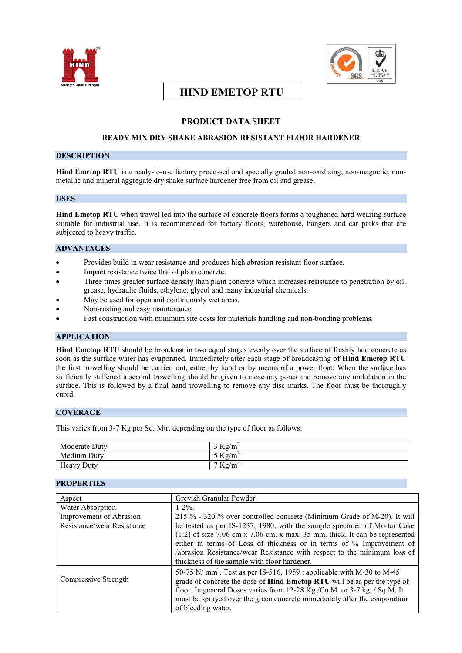



# **HIND EMETOP RTU**

## **PRODUCT DATA SHEET**

## **READY MIX DRY SHAKE ABRASION RESISTANT FLOOR HARDENER**

### **DESCRIPTION**

**Hind Emetop RTU** is a ready-to-use factory processed and specially graded non-oxidising, non-magnetic, nonmetallic and mineral aggregate dry shake surface hardener free from oil and grease.

## **USES**

**Hind Emetop RTU** when trowel led into the surface of concrete floors forms a toughened hard-wearing surface suitable for industrial use. It is recommended for factory floors, warehouse, hangers and car parks that are subjected to heavy traffic.

## **ADVANTAGES**

- Provides build in wear resistance and produces high abrasion resistant floor surface.
- Impact resistance twice that of plain concrete.
- Three times greater surface density than plain concrete which increases resistance to penetration by oil, grease, hydraulic fluids, ethylene, glycol and many industrial chemicals.
- May be used for open and continuously wet areas.
- Non-rusting and easy maintenance.
- Fast construction with minimum site costs for materials handling and non-bonding problems.

## **APPLICATION**

**Hind Emetop RTU** should be broadcast in two equal stages evenly over the surface of freshly laid concrete as soon as the surface water has evaporated. Immediately after each stage of broadcasting of **Hind Emetop RTU** the first trowelling should be carried out, either by hand or by means of a power float. When the surface has sufficiently stiffened a second trowelling should be given to close any pores and remove any undulation in the surface. This is followed by a final hand trowelling to remove any disc marks. The floor must be thoroughly cured.

## **COVERAGE**

This varies from 3-7 Kg per Sq. Mtr. depending on the type of floor as follows:

| Moderate Duty           | $3 \text{Kg/m}$    |
|-------------------------|--------------------|
| Medium Duty             | $Kg/m^2$           |
| <b>TT</b><br>Heavy Duty | $7 \text{ kg/m}^2$ |

### **PROPERTIES**

| Aspect                     | Greyish Granular Powder.                                                           |
|----------------------------|------------------------------------------------------------------------------------|
| Water Absorption           | $1 - 2\%$ .                                                                        |
| Improvement of Abrasion    | 215 % - 320 % over controlled concrete (Minimum Grade of M-20). It will            |
| Resistance/wear Resistance | be tested as per IS-1237, 1980, with the sample specimen of Mortar Cake            |
|                            | $(1:2)$ of size 7.06 cm x 7.06 cm. x max. 35 mm. thick. It can be represented      |
|                            | either in terms of Loss of thickness or in terms of % Improvement of               |
|                            | /abrasion Resistance/wear Resistance with respect to the minimum loss of           |
|                            | thickness of the sample with floor hardener.                                       |
|                            | 50-75 N/ mm <sup>2</sup> . Test as per IS-516, 1959 : applicable with M-30 to M-45 |
| Compressive Strength       | grade of concrete the dose of Hind Emetop RTU will be as per the type of           |
|                            | floor. In general Doses varies from 12-28 Kg./Cu.M or 3-7 kg. / Sq.M. It           |
|                            | must be sprayed over the green concrete immediately after the evaporation          |
|                            | of bleeding water.                                                                 |